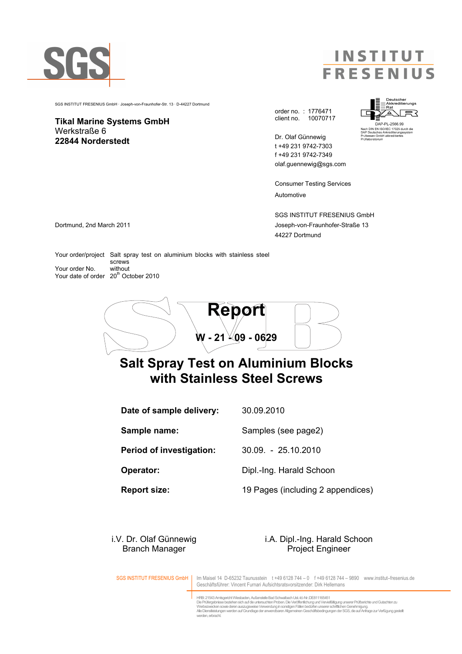

**INSTITUT FRESENIUS** 

SGS INSTITUT FRESENIUS GmbH · Joseph-von-Fraunhofer-Str. 13 · D-44227 Dortmund

Tikal Marine Systems GmbH Werkstraße 6 22844 Norderstedt

order no. : 1776471 client no. 10070717

Dr. Olaf Günnewig t +49 231 9742-7303 f +49 231 9742-7349 olaf.guennewig@sgs.com

Consumer Testing Services Automotive

SGS INSTITUT FRESENIUS GmbH Dortmund, 2nd March 2011 Joseph-von-Fraunhofer-Straße 13 44227 Dortmund

Your order/project Salt spray test on aluminium blocks with stainless steel screws<br>without Your order No. Your date of order 20<sup>th</sup> October 2010



## Salt Spray Test on Aluminium Blocks with Stainless Steel Screws

Date of sample delivery: 30.09.2010 Sample name: Samples (see page2) Period of investigation: 30.09. - 25.10.2010 **Operator:** Dipl.-Ing. Harald Schoon

Report size: 19 Pages (including 2 appendices)

#### i.V. Dr. Olaf Günnewig i.A. Dipl.-Ing. Harald Schoon Branch Manager **Project Engineer**

SGS INSTITUT FRESENIUS GmbH | Im Maisel 14 D-65232 Taunusstein t +49 6128 744 – 0 f +49 6128 744 – 9890 www.institut–fresenius.de Geschäftsführer: Vincent Furnari Aufsichtsratsvorsitzender: Dirk Hellemans

> HRB: 21543 Amtsgericht Wiesbaden, Außenstelle Bad Schwalbach Ust.-Id.-Nr.:DE811165451 Die Prüfergebnisse beziehen sich auf die untersuchten Proben. Die Veröffentlichung und Vervielfältigung unserer Prüfberichte und Gutachten zu<br>Werbezwecken sowie deren auszugsweise Verwendung in sonstigen Fällen bedürfen un

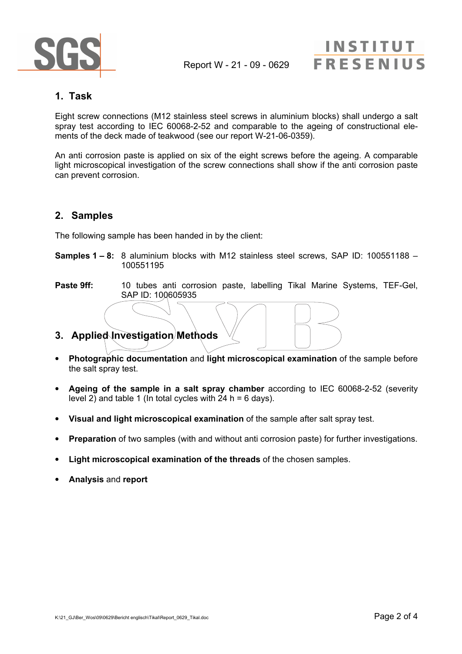

# **INSTITUT FRESENIUS**

### 1. Task

Eight screw connections (M12 stainless steel screws in aluminium blocks) shall undergo a salt spray test according to IEC 60068-2-52 and comparable to the ageing of constructional elements of the deck made of teakwood (see our report W-21-06-0359).

An anti corrosion paste is applied on six of the eight screws before the ageing. A comparable light microscopical investigation of the screw connections shall show if the anti corrosion paste can prevent corrosion.

#### 2. Samples

The following sample has been handed in by the client:

- Samples 1 8: 8 aluminium blocks with M12 stainless steel screws, SAP ID: 100551188 100551195
- Paste 9ff: 10 tubes anti corrosion paste, labelling Tikal Marine Systems, TEF-Gel, SAP ID: 100605935
- 3. Applied Investigation Methods
- Photographic documentation and light microscopical examination of the sample before the salt spray test.
- Ageing of the sample in a salt spray chamber according to IEC 60068-2-52 (severity level 2) and table 1 (In total cycles with  $24 h = 6$  days).
- Visual and light microscopical examination of the sample after salt spray test.
- **Preparation** of two samples (with and without anti corrosion paste) for further investigations.
- Light microscopical examination of the threads of the chosen samples.
- Analysis and report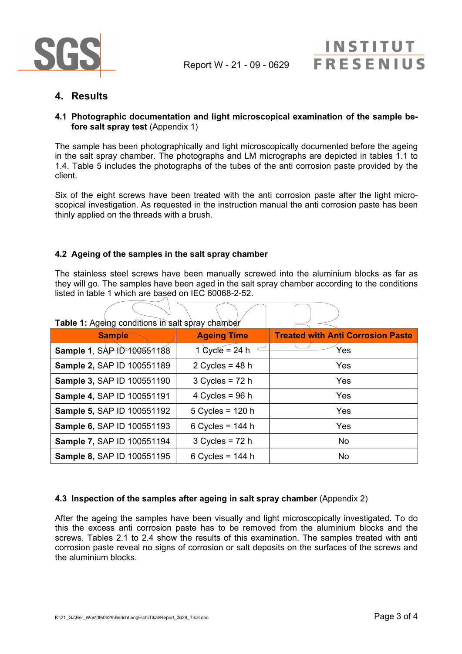

## 4. Results

#### 4.1 Photographic documentation and light microscopical examination of the sample before salt spray test (Appendix 1)

The sample has been photographically and light microscopically documented before the ageing in the salt spray chamber. The photographs and LM micrographs are depicted in tables 1.1 to 1.4. Table 5 includes the photographs of the tubes of the anti corrosion paste provided by the client.

Six of the eight screws have been treated with the anti corrosion paste after the light microscopical investigation. As requested in the instruction manual the anti corrosion paste has been thinly applied on the threads with a brush.

#### 4.2 Ageing of the samples in the salt spray chamber

 $\sqrt{ }$ 

 $\sqrt{ }$ 

The stainless steel screws have been manually screwed into the aluminium blocks as far as they will go. The samples have been aged in the salt spray chamber according to the conditions listed in table 1 which are based on IEC 60068-2-52.

 $\overline{\phantom{a}}$ 

 $\sqrt{ }$ 

| <b>Table 1:</b> Ageing conditions in salt spray chamber |                                 |                                          |
|---------------------------------------------------------|---------------------------------|------------------------------------------|
| <b>Sample</b>                                           | <b>Ageing Time</b>              | <b>Treated with Anti Corrosion Paste</b> |
| Sample 1, SAP 1D 100551188                              | 1 $\text{Cycle} = 24 \text{ h}$ | Yes                                      |
| Sample 2, SAP ID 100551189                              | 2 Cycles = $48 h$               | Yes                                      |
| Sample 3, SAP ID 100551190                              | $3$ Cycles = 72 h               | Yes                                      |
| Sample 4, SAP ID 100551191                              | 4 Cycles = $96 h$               | Yes                                      |
| Sample 5, SAP ID 100551192                              | $5$ Cycles = 120 h              | Yes                                      |
| <b>Sample 6, SAP ID 100551193</b>                       | 6 Cycles = $144 h$              | Yes                                      |
| Sample 7, SAP ID 100551194                              | $3$ Cycles = 72 h               | <b>No</b>                                |
| <b>Sample 8, SAP ID 100551195</b>                       | 6 Cycles = $144 h$              | <b>No</b>                                |

#### 4.3 Inspection of the samples after ageing in salt spray chamber (Appendix 2)

After the ageing the samples have been visually and light microscopically investigated. To do this the excess anti corrosion paste has to be removed from the aluminium blocks and the screws. Tables 2.1 to 2.4 show the results of this examination. The samples treated with anti corrosion paste reveal no signs of corrosion or salt deposits on the surfaces of the screws and the aluminium blocks.